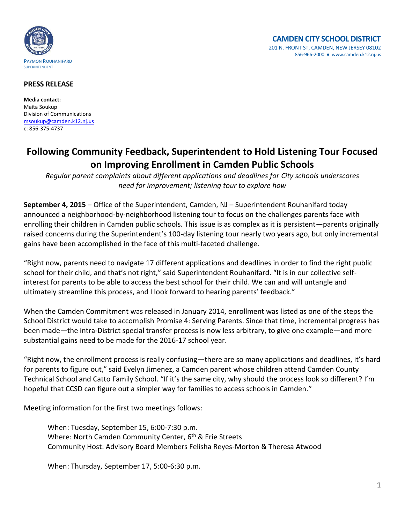

## **PRESS RELEASE**

**Media contact:** Maita Soukup Division of Communications [msoukup@camden.k12.nj.us](mailto:msoukup@camden.k12.nj.us) c: 856-375-4737

## **Following Community Feedback, Superintendent to Hold Listening Tour Focused on Improving Enrollment in Camden Public Schools**

*Regular parent complaints about different applications and deadlines for City schools underscores need for improvement; listening tour to explore how*

**September 4, 2015** – Office of the Superintendent, Camden, NJ – Superintendent Rouhanifard today announced a neighborhood-by-neighborhood listening tour to focus on the challenges parents face with enrolling their children in Camden public schools. This issue is as complex as it is persistent—parents originally raised concerns during the Superintendent's 100-day listening tour nearly two years ago, but only incremental gains have been accomplished in the face of this multi-faceted challenge.

"Right now, parents need to navigate 17 different applications and deadlines in order to find the right public school for their child, and that's not right," said Superintendent Rouhanifard. "It is in our collective selfinterest for parents to be able to access the best school for their child. We can and will untangle and ultimately streamline this process, and I look forward to hearing parents' feedback."

When the Camden Commitment was released in January 2014, enrollment was listed as one of the steps the School District would take to accomplish Promise 4: Serving Parents. Since that time, incremental progress has been made—the intra-District special transfer process is now less arbitrary, to give one example—and more substantial gains need to be made for the 2016-17 school year.

"Right now, the enrollment process is really confusing—there are so many applications and deadlines, it's hard for parents to figure out," said Evelyn Jimenez, a Camden parent whose children attend Camden County Technical School and Catto Family School. "If it's the same city, why should the process look so different? I'm hopeful that CCSD can figure out a simpler way for families to access schools in Camden."

Meeting information for the first two meetings follows:

When: Tuesday, September 15, 6:00-7:30 p.m. Where: North Camden Community Center, 6<sup>th</sup> & Erie Streets Community Host: Advisory Board Members Felisha Reyes-Morton & Theresa Atwood

When: Thursday, September 17, 5:00-6:30 p.m.